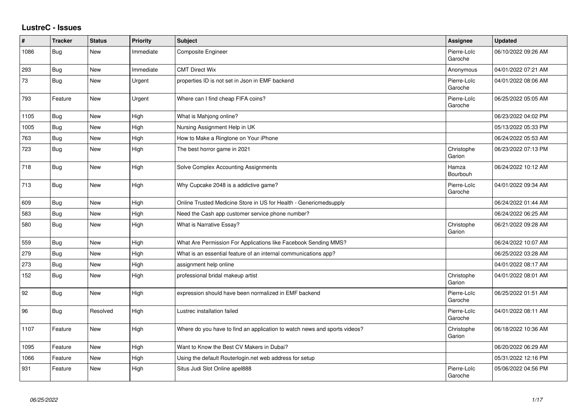## **LustreC - Issues**

| #    | <b>Tracker</b> | <b>Status</b> | <b>Priority</b> | <b>Subject</b>                                                            | <b>Assignee</b>        | <b>Updated</b>      |
|------|----------------|---------------|-----------------|---------------------------------------------------------------------------|------------------------|---------------------|
| 1086 | Bug            | New           | Immediate       | Composite Engineer                                                        | Pierre-Loïc<br>Garoche | 06/10/2022 09:26 AM |
| 293  | Bug            | New           | Immediate       | <b>CMT Direct Wix</b>                                                     | Anonymous              | 04/01/2022 07:21 AM |
| 73   | Bug            | <b>New</b>    | Urgent          | properties ID is not set in Json in EMF backend                           | Pierre-Loïc<br>Garoche | 04/01/2022 08:06 AM |
| 793  | Feature        | New           | Urgent          | Where can I find cheap FIFA coins?                                        | Pierre-Loïc<br>Garoche | 06/25/2022 05:05 AM |
| 1105 | Bug            | <b>New</b>    | High            | What is Mahjong online?                                                   |                        | 06/23/2022 04:02 PM |
| 1005 | Bug            | <b>New</b>    | High            | Nursing Assignment Help in UK                                             |                        | 05/13/2022 05:33 PM |
| 763  | <b>Bug</b>     | <b>New</b>    | High            | How to Make a Ringtone on Your iPhone                                     |                        | 06/24/2022 05:53 AM |
| 723  | <b>Bug</b>     | <b>New</b>    | High            | The best horror game in 2021                                              | Christophe<br>Garion   | 06/23/2022 07:13 PM |
| 718  | <b>Bug</b>     | <b>New</b>    | High            | Solve Complex Accounting Assignments                                      | Hamza<br>Bourbouh      | 06/24/2022 10:12 AM |
| 713  | Bug            | New           | High            | Why Cupcake 2048 is a addictive game?                                     | Pierre-Loïc<br>Garoche | 04/01/2022 09:34 AM |
| 609  | Bug            | New           | High            | Online Trusted Medicine Store in US for Health - Genericmedsupply         |                        | 06/24/2022 01:44 AM |
| 583  | Bug            | New           | High            | Need the Cash app customer service phone number?                          |                        | 06/24/2022 06:25 AM |
| 580  | Bug            | New           | High            | What is Narrative Essay?                                                  | Christophe<br>Garion   | 06/21/2022 09:28 AM |
| 559  | Bug            | <b>New</b>    | High            | What Are Permission For Applications like Facebook Sending MMS?           |                        | 06/24/2022 10:07 AM |
| 279  | Bug            | <b>New</b>    | High            | What is an essential feature of an internal communications app?           |                        | 06/25/2022 03:28 AM |
| 273  | Bug            | <b>New</b>    | High            | assignment help online                                                    |                        | 04/01/2022 08:17 AM |
| 152  | Bug            | New           | High            | professional bridal makeup artist                                         | Christophe<br>Garion   | 04/01/2022 08:01 AM |
| 92   | Bug            | <b>New</b>    | High            | expression should have been normalized in EMF backend                     | Pierre-Loïc<br>Garoche | 06/25/2022 01:51 AM |
| 96   | Bug            | Resolved      | High            | Lustrec installation failed                                               | Pierre-Loïc<br>Garoche | 04/01/2022 08:11 AM |
| 1107 | Feature        | <b>New</b>    | High            | Where do you have to find an application to watch news and sports videos? | Christophe<br>Garion   | 06/18/2022 10:36 AM |
| 1095 | Feature        | New           | High            | Want to Know the Best CV Makers in Dubai?                                 |                        | 06/20/2022 06:29 AM |
| 1066 | Feature        | <b>New</b>    | High            | Using the default Routerlogin.net web address for setup                   |                        | 05/31/2022 12:16 PM |
| 931  | Feature        | <b>New</b>    | High            | Situs Judi Slot Online apel888                                            | Pierre-Loïc<br>Garoche | 05/06/2022 04:56 PM |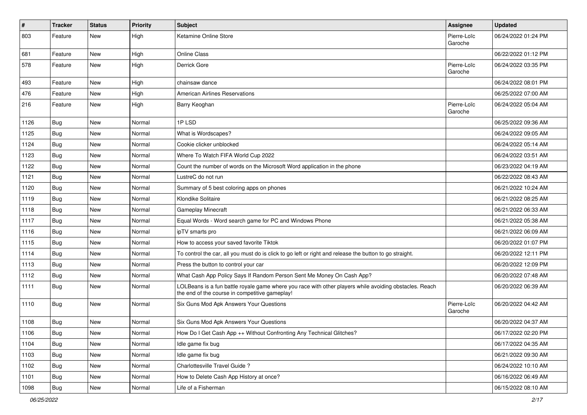| $\sharp$ | <b>Tracker</b> | <b>Status</b> | <b>Priority</b> | Subject                                                                                                                                                  | <b>Assignee</b>        | <b>Updated</b>      |
|----------|----------------|---------------|-----------------|----------------------------------------------------------------------------------------------------------------------------------------------------------|------------------------|---------------------|
| 803      | Feature        | New           | High            | Ketamine Online Store                                                                                                                                    | Pierre-Loïc<br>Garoche | 06/24/2022 01:24 PM |
| 681      | Feature        | New           | High            | <b>Online Class</b>                                                                                                                                      |                        | 06/22/2022 01:12 PM |
| 578      | Feature        | New           | High            | Derrick Gore                                                                                                                                             | Pierre-Loïc<br>Garoche | 06/24/2022 03:35 PM |
| 493      | Feature        | New           | High            | chainsaw dance                                                                                                                                           |                        | 06/24/2022 08:01 PM |
| 476      | Feature        | New           | High            | <b>American Airlines Reservations</b>                                                                                                                    |                        | 06/25/2022 07:00 AM |
| 216      | Feature        | New           | High            | Barry Keoghan                                                                                                                                            | Pierre-Loïc<br>Garoche | 06/24/2022 05:04 AM |
| 1126     | Bug            | <b>New</b>    | Normal          | 1PLSD                                                                                                                                                    |                        | 06/25/2022 09:36 AM |
| 1125     | Bug            | New           | Normal          | What is Wordscapes?                                                                                                                                      |                        | 06/24/2022 09:05 AM |
| 1124     | <b>Bug</b>     | New           | Normal          | Cookie clicker unblocked                                                                                                                                 |                        | 06/24/2022 05:14 AM |
| 1123     | Bug            | New           | Normal          | Where To Watch FIFA World Cup 2022                                                                                                                       |                        | 06/24/2022 03:51 AM |
| 1122     | <b>Bug</b>     | New           | Normal          | Count the number of words on the Microsoft Word application in the phone                                                                                 |                        | 06/23/2022 04:19 AM |
| 1121     | Bug            | New           | Normal          | LustreC do not run                                                                                                                                       |                        | 06/22/2022 08:43 AM |
| 1120     | Bug            | New           | Normal          | Summary of 5 best coloring apps on phones                                                                                                                |                        | 06/21/2022 10:24 AM |
| 1119     | <b>Bug</b>     | New           | Normal          | Klondike Solitaire                                                                                                                                       |                        | 06/21/2022 08:25 AM |
| 1118     | Bug            | New           | Normal          | Gameplay Minecraft                                                                                                                                       |                        | 06/21/2022 06:33 AM |
| 1117     | Bug            | New           | Normal          | Equal Words - Word search game for PC and Windows Phone                                                                                                  |                        | 06/21/2022 05:38 AM |
| 1116     | <b>Bug</b>     | New           | Normal          | ipTV smarts pro                                                                                                                                          |                        | 06/21/2022 06:09 AM |
| 1115     | Bug            | New           | Normal          | How to access your saved favorite Tiktok                                                                                                                 |                        | 06/20/2022 01:07 PM |
| 1114     | <b>Bug</b>     | New           | Normal          | To control the car, all you must do is click to go left or right and release the button to go straight.                                                  |                        | 06/20/2022 12:11 PM |
| 1113     | Bug            | New           | Normal          | Press the button to control your car                                                                                                                     |                        | 06/20/2022 12:09 PM |
| 1112     | Bug            | New           | Normal          | What Cash App Policy Says If Random Person Sent Me Money On Cash App?                                                                                    |                        | 06/20/2022 07:48 AM |
| 1111     | Bug            | New           | Normal          | LOLBeans is a fun battle royale game where you race with other players while avoiding obstacles. Reach<br>the end of the course in competitive gameplay! |                        | 06/20/2022 06:39 AM |
| 1110     | <b>Bug</b>     | New           | Normal          | Six Guns Mod Apk Answers Your Questions                                                                                                                  | Pierre-Loïc<br>Garoche | 06/20/2022 04:42 AM |
| 1108     | Bug            | New           | Normal          | Six Guns Mod Apk Answers Your Questions                                                                                                                  |                        | 06/20/2022 04:37 AM |
| 1106     | <b>Bug</b>     | New           | Normal          | How Do I Get Cash App ++ Without Confronting Any Technical Glitches?                                                                                     |                        | 06/17/2022 02:20 PM |
| 1104     | <b>Bug</b>     | New           | Normal          | Idle game fix bug                                                                                                                                        |                        | 06/17/2022 04:35 AM |
| 1103     | Bug            | New           | Normal          | Idle game fix bug                                                                                                                                        |                        | 06/21/2022 09:30 AM |
| 1102     | Bug            | New           | Normal          | Charlottesville Travel Guide?                                                                                                                            |                        | 06/24/2022 10:10 AM |
| 1101     | Bug            | New           | Normal          | How to Delete Cash App History at once?                                                                                                                  |                        | 06/16/2022 06:49 AM |
| 1098     | Bug            | New           | Normal          | Life of a Fisherman                                                                                                                                      |                        | 06/15/2022 08:10 AM |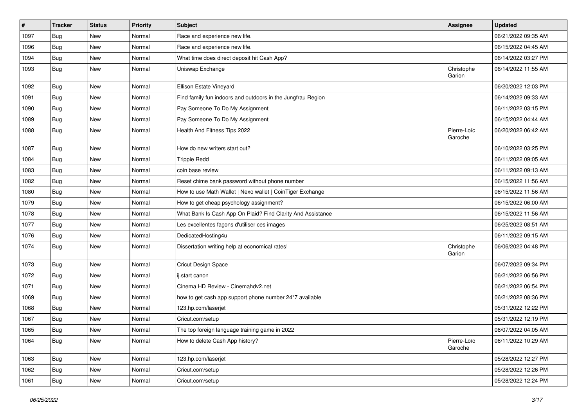| $\vert$ # | <b>Tracker</b> | <b>Status</b> | <b>Priority</b> | <b>Subject</b>                                              | <b>Assignee</b>        | <b>Updated</b>      |
|-----------|----------------|---------------|-----------------|-------------------------------------------------------------|------------------------|---------------------|
| 1097      | Bug            | New           | Normal          | Race and experience new life.                               |                        | 06/21/2022 09:35 AM |
| 1096      | Bug            | New           | Normal          | Race and experience new life.                               |                        | 06/15/2022 04:45 AM |
| 1094      | <b>Bug</b>     | New           | Normal          | What time does direct deposit hit Cash App?                 |                        | 06/14/2022 03:27 PM |
| 1093      | Bug            | <b>New</b>    | Normal          | Uniswap Exchange                                            | Christophe<br>Garion   | 06/14/2022 11:55 AM |
| 1092      | Bug            | New           | Normal          | Ellison Estate Vineyard                                     |                        | 06/20/2022 12:03 PM |
| 1091      | <b>Bug</b>     | <b>New</b>    | Normal          | Find family fun indoors and outdoors in the Jungfrau Region |                        | 06/14/2022 09:33 AM |
| 1090      | Bug            | New           | Normal          | Pay Someone To Do My Assignment                             |                        | 06/11/2022 03:15 PM |
| 1089      | <b>Bug</b>     | New           | Normal          | Pay Someone To Do My Assignment                             |                        | 06/15/2022 04:44 AM |
| 1088      | <b>Bug</b>     | <b>New</b>    | Normal          | Health And Fitness Tips 2022                                | Pierre-Loïc<br>Garoche | 06/20/2022 06:42 AM |
| 1087      | Bug            | <b>New</b>    | Normal          | How do new writers start out?                               |                        | 06/10/2022 03:25 PM |
| 1084      | Bug            | <b>New</b>    | Normal          | <b>Trippie Redd</b>                                         |                        | 06/11/2022 09:05 AM |
| 1083      | Bug            | New           | Normal          | coin base review                                            |                        | 06/11/2022 09:13 AM |
| 1082      | Bug            | <b>New</b>    | Normal          | Reset chime bank password without phone number              |                        | 06/15/2022 11:56 AM |
| 1080      | Bug            | New           | Normal          | How to use Math Wallet   Nexo wallet   CoinTiger Exchange   |                        | 06/15/2022 11:56 AM |
| 1079      | Bug            | New           | Normal          | How to get cheap psychology assignment?                     |                        | 06/15/2022 06:00 AM |
| 1078      | Bug            | <b>New</b>    | Normal          | What Bank Is Cash App On Plaid? Find Clarity And Assistance |                        | 06/15/2022 11:56 AM |
| 1077      | Bug            | New           | Normal          | Les excellentes façons d'utiliser ces images                |                        | 06/25/2022 08:51 AM |
| 1076      | Bug            | <b>New</b>    | Normal          | DedicatedHosting4u                                          |                        | 06/11/2022 09:15 AM |
| 1074      | Bug            | New           | Normal          | Dissertation writing help at economical rates!              | Christophe<br>Garion   | 06/06/2022 04:48 PM |
| 1073      | Bug            | New           | Normal          | Cricut Design Space                                         |                        | 06/07/2022 09:34 PM |
| 1072      | Bug            | New           | Normal          | ij.start canon                                              |                        | 06/21/2022 06:56 PM |
| 1071      | Bug            | New           | Normal          | Cinema HD Review - Cinemahdv2.net                           |                        | 06/21/2022 06:54 PM |
| 1069      | Bug            | <b>New</b>    | Normal          | how to get cash app support phone number 24*7 available     |                        | 06/21/2022 08:36 PM |
| 1068      | Bug            | New           | Normal          | 123.hp.com/laserjet                                         |                        | 05/31/2022 12:22 PM |
| 1067      | <b>Bug</b>     | <b>New</b>    | Normal          | Cricut.com/setup                                            |                        | 05/31/2022 12:19 PM |
| 1065      | Bug            | New           | Normal          | The top foreign language training game in 2022              |                        | 06/07/2022 04:05 AM |
| 1064      | Bug            | New           | Normal          | How to delete Cash App history?                             | Pierre-Loïc<br>Garoche | 06/11/2022 10:29 AM |
| 1063      | Bug            | New           | Normal          | 123.hp.com/laserjet                                         |                        | 05/28/2022 12:27 PM |
| 1062      | Bug            | New           | Normal          | Cricut.com/setup                                            |                        | 05/28/2022 12:26 PM |
| 1061      | <b>Bug</b>     | New           | Normal          | Cricut.com/setup                                            |                        | 05/28/2022 12:24 PM |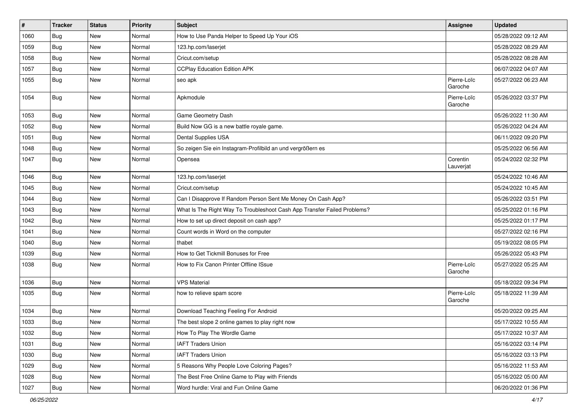| #    | <b>Tracker</b> | <b>Status</b> | <b>Priority</b> | Subject                                                                  | Assignee               | <b>Updated</b>      |
|------|----------------|---------------|-----------------|--------------------------------------------------------------------------|------------------------|---------------------|
| 1060 | Bug            | New           | Normal          | How to Use Panda Helper to Speed Up Your iOS                             |                        | 05/28/2022 09:12 AM |
| 1059 | Bug            | New           | Normal          | 123.hp.com/laserjet                                                      |                        | 05/28/2022 08:29 AM |
| 1058 | Bug            | New           | Normal          | Cricut.com/setup                                                         |                        | 05/28/2022 08:28 AM |
| 1057 | Bug            | New           | Normal          | <b>CCPlay Education Edition APK</b>                                      |                        | 06/07/2022 04:07 AM |
| 1055 | <b>Bug</b>     | New           | Normal          | seo apk                                                                  | Pierre-Loïc<br>Garoche | 05/27/2022 06:23 AM |
| 1054 | Bug            | New           | Normal          | Apkmodule                                                                | Pierre-Loïc<br>Garoche | 05/26/2022 03:37 PM |
| 1053 | Bug            | New           | Normal          | Game Geometry Dash                                                       |                        | 05/26/2022 11:30 AM |
| 1052 | Bug            | New           | Normal          | Build Now GG is a new battle royale game.                                |                        | 05/26/2022 04:24 AM |
| 1051 | Bug            | New           | Normal          | Dental Supplies USA                                                      |                        | 06/11/2022 09:20 PM |
| 1048 | Bug            | New           | Normal          | So zeigen Sie ein Instagram-Profilbild an und vergrößern es              |                        | 05/25/2022 06:56 AM |
| 1047 | Bug            | New           | Normal          | Opensea                                                                  | Corentin<br>Lauverjat  | 05/24/2022 02:32 PM |
| 1046 | Bug            | New           | Normal          | 123.hp.com/laserjet                                                      |                        | 05/24/2022 10:46 AM |
| 1045 | Bug            | New           | Normal          | Cricut.com/setup                                                         |                        | 05/24/2022 10:45 AM |
| 1044 | Bug            | New           | Normal          | Can I Disapprove If Random Person Sent Me Money On Cash App?             |                        | 05/26/2022 03:51 PM |
| 1043 | Bug            | New           | Normal          | What Is The Right Way To Troubleshoot Cash App Transfer Failed Problems? |                        | 05/25/2022 01:16 PM |
| 1042 | Bug            | New           | Normal          | How to set up direct deposit on cash app?                                |                        | 05/25/2022 01:17 PM |
| 1041 | Bug            | New           | Normal          | Count words in Word on the computer                                      |                        | 05/27/2022 02:16 PM |
| 1040 | Bug            | New           | Normal          | thabet                                                                   |                        | 05/19/2022 08:05 PM |
| 1039 | Bug            | New           | Normal          | How to Get Tickmill Bonuses for Free                                     |                        | 05/26/2022 05:43 PM |
| 1038 | Bug            | New           | Normal          | How to Fix Canon Printer Offline ISsue                                   | Pierre-Loïc<br>Garoche | 05/27/2022 05:25 AM |
| 1036 | Bug            | New           | Normal          | <b>VPS Material</b>                                                      |                        | 05/18/2022 09:34 PM |
| 1035 | Bug            | New           | Normal          | how to relieve spam score                                                | Pierre-Loïc<br>Garoche | 05/18/2022 11:39 AM |
| 1034 | Bug            | New           | Normal          | Download Teaching Feeling For Android                                    |                        | 05/20/2022 09:25 AM |
| 1033 | Bug            | New           | Normal          | The best slope 2 online games to play right now                          |                        | 05/17/2022 10:55 AM |
| 1032 | Bug            | New           | Normal          | How To Play The Wordle Game                                              |                        | 05/17/2022 10:37 AM |
| 1031 | Bug            | New           | Normal          | <b>IAFT Traders Union</b>                                                |                        | 05/16/2022 03:14 PM |
| 1030 | Bug            | New           | Normal          | <b>IAFT Traders Union</b>                                                |                        | 05/16/2022 03:13 PM |
| 1029 | Bug            | New           | Normal          | 5 Reasons Why People Love Coloring Pages?                                |                        | 05/16/2022 11:53 AM |
| 1028 | <b>Bug</b>     | New           | Normal          | The Best Free Online Game to Play with Friends                           |                        | 05/16/2022 05:00 AM |
| 1027 | Bug            | New           | Normal          | Word hurdle: Viral and Fun Online Game                                   |                        | 06/20/2022 01:36 PM |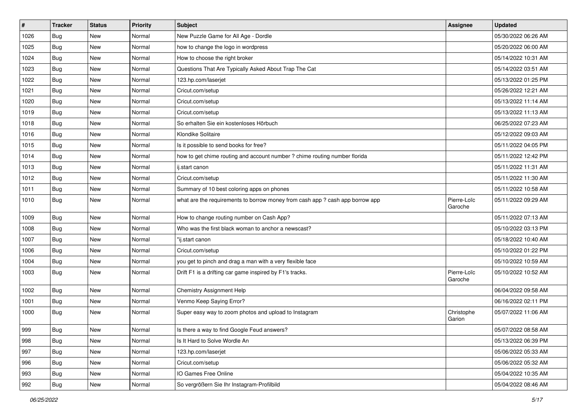| $\vert$ # | <b>Tracker</b> | <b>Status</b> | <b>Priority</b> | <b>Subject</b>                                                                | <b>Assignee</b>        | <b>Updated</b>      |
|-----------|----------------|---------------|-----------------|-------------------------------------------------------------------------------|------------------------|---------------------|
| 1026      | Bug            | New           | Normal          | New Puzzle Game for All Age - Dordle                                          |                        | 05/30/2022 06:26 AM |
| 1025      | Bug            | <b>New</b>    | Normal          | how to change the logo in wordpress                                           |                        | 05/20/2022 06:00 AM |
| 1024      | Bug            | New           | Normal          | How to choose the right broker                                                |                        | 05/14/2022 10:31 AM |
| 1023      | Bug            | New           | Normal          | Questions That Are Typically Asked About Trap The Cat                         |                        | 05/14/2022 03:51 AM |
| 1022      | Bug            | <b>New</b>    | Normal          | 123.hp.com/laserjet                                                           |                        | 05/13/2022 01:25 PM |
| 1021      | Bug            | New           | Normal          | Cricut.com/setup                                                              |                        | 05/26/2022 12:21 AM |
| 1020      | Bug            | <b>New</b>    | Normal          | Cricut.com/setup                                                              |                        | 05/13/2022 11:14 AM |
| 1019      | Bug            | New           | Normal          | Cricut.com/setup                                                              |                        | 05/13/2022 11:13 AM |
| 1018      | <b>Bug</b>     | <b>New</b>    | Normal          | So erhalten Sie ein kostenloses Hörbuch                                       |                        | 06/25/2022 07:23 AM |
| 1016      | Bug            | <b>New</b>    | Normal          | Klondike Solitaire                                                            |                        | 05/12/2022 09:03 AM |
| 1015      | <b>Bug</b>     | New           | Normal          | Is it possible to send books for free?                                        |                        | 05/11/2022 04:05 PM |
| 1014      | Bug            | <b>New</b>    | Normal          | how to get chime routing and account number ? chime routing number florida    |                        | 05/11/2022 12:42 PM |
| 1013      | Bug            | New           | Normal          | ij.start canon                                                                |                        | 05/11/2022 11:31 AM |
| 1012      | Bug            | <b>New</b>    | Normal          | Cricut.com/setup                                                              |                        | 05/11/2022 11:30 AM |
| 1011      | Bug            | New           | Normal          | Summary of 10 best coloring apps on phones                                    |                        | 05/11/2022 10:58 AM |
| 1010      | Bug            | New           | Normal          | what are the requirements to borrow money from cash app ? cash app borrow app | Pierre-Loïc<br>Garoche | 05/11/2022 09:29 AM |
| 1009      | Bug            | <b>New</b>    | Normal          | How to change routing number on Cash App?                                     |                        | 05/11/2022 07:13 AM |
| 1008      | Bug            | New           | Normal          | Who was the first black woman to anchor a newscast?                           |                        | 05/10/2022 03:13 PM |
| 1007      | Bug            | <b>New</b>    | Normal          | "ij.start canon                                                               |                        | 05/18/2022 10:40 AM |
| 1006      | Bug            | New           | Normal          | Cricut.com/setup                                                              |                        | 05/10/2022 01:22 PM |
| 1004      | <b>Bug</b>     | <b>New</b>    | Normal          | you get to pinch and drag a man with a very flexible face                     |                        | 05/10/2022 10:59 AM |
| 1003      | <b>Bug</b>     | <b>New</b>    | Normal          | Drift F1 is a drifting car game inspired by F1's tracks.                      | Pierre-Loïc<br>Garoche | 05/10/2022 10:52 AM |
| 1002      | Bug            | <b>New</b>    | Normal          | Chemistry Assignment Help                                                     |                        | 06/04/2022 09:58 AM |
| 1001      | Bug            | <b>New</b>    | Normal          | Venmo Keep Saying Error?                                                      |                        | 06/16/2022 02:11 PM |
| 1000      | <b>Bug</b>     | New           | Normal          | Super easy way to zoom photos and upload to Instagram                         | Christophe<br>Garion   | 05/07/2022 11:06 AM |
| 999       | Bug            | New           | Normal          | Is there a way to find Google Feud answers?                                   |                        | 05/07/2022 08:58 AM |
| 998       | Bug            | New           | Normal          | Is It Hard to Solve Wordle An                                                 |                        | 05/13/2022 06:39 PM |
| 997       | Bug            | New           | Normal          | 123.hp.com/laserjet                                                           |                        | 05/06/2022 05:33 AM |
| 996       | Bug            | New           | Normal          | Cricut.com/setup                                                              |                        | 05/06/2022 05:32 AM |
| 993       | <b>Bug</b>     | New           | Normal          | IO Games Free Online                                                          |                        | 05/04/2022 10:35 AM |
| 992       | <b>Bug</b>     | New           | Normal          | So vergrößern Sie Ihr Instagram-Profilbild                                    |                        | 05/04/2022 08:46 AM |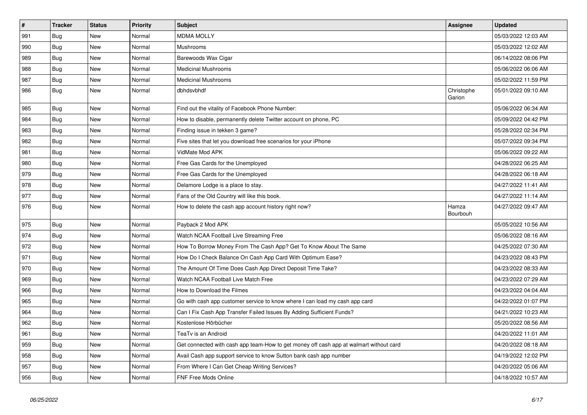| $\pmb{\#}$ | <b>Tracker</b> | <b>Status</b> | <b>Priority</b> | <b>Subject</b>                                                                         | Assignee             | <b>Updated</b>      |
|------------|----------------|---------------|-----------------|----------------------------------------------------------------------------------------|----------------------|---------------------|
| 991        | Bug            | <b>New</b>    | Normal          | <b>MDMA MOLLY</b>                                                                      |                      | 05/03/2022 12:03 AM |
| 990        | Bug            | <b>New</b>    | Normal          | Mushrooms                                                                              |                      | 05/03/2022 12:02 AM |
| 989        | <b>Bug</b>     | <b>New</b>    | Normal          | Barewoods Wax Cigar                                                                    |                      | 06/14/2022 08:06 PM |
| 988        | Bug            | New           | Normal          | <b>Medicinal Mushrooms</b>                                                             |                      | 05/06/2022 06:06 AM |
| 987        | Bug            | New           | Normal          | <b>Medicinal Mushrooms</b>                                                             |                      | 05/02/2022 11:59 PM |
| 986        | Bug            | New           | Normal          | dbhdsvbhdf                                                                             | Christophe<br>Garion | 05/01/2022 09:10 AM |
| 985        | Bug            | <b>New</b>    | Normal          | Find out the vitality of Facebook Phone Number:                                        |                      | 05/06/2022 06:34 AM |
| 984        | Bug            | <b>New</b>    | Normal          | How to disable, permanently delete Twitter account on phone, PC                        |                      | 05/09/2022 04:42 PM |
| 983        | <b>Bug</b>     | <b>New</b>    | Normal          | Finding issue in tekken 3 game?                                                        |                      | 05/28/2022 02:34 PM |
| 982        | <b>Bug</b>     | New           | Normal          | Five sites that let you download free scenarios for your iPhone                        |                      | 05/07/2022 09:34 PM |
| 981        | <b>Bug</b>     | New           | Normal          | VidMate Mod APK                                                                        |                      | 05/06/2022 09:22 AM |
| 980        | <b>Bug</b>     | <b>New</b>    | Normal          | Free Gas Cards for the Unemployed                                                      |                      | 04/28/2022 06:25 AM |
| 979        | Bug            | <b>New</b>    | Normal          | Free Gas Cards for the Unemployed                                                      |                      | 04/28/2022 06:18 AM |
| 978        | Bug            | New           | Normal          | Delamore Lodge is a place to stay.                                                     |                      | 04/27/2022 11:41 AM |
| 977        | Bug            | <b>New</b>    | Normal          | Fans of the Old Country will like this book.                                           |                      | 04/27/2022 11:14 AM |
| 976        | Bug            | <b>New</b>    | Normal          | How to delete the cash app account history right now?                                  | Hamza<br>Bourbouh    | 04/27/2022 09:47 AM |
| 975        | <b>Bug</b>     | <b>New</b>    | Normal          | Payback 2 Mod APK                                                                      |                      | 05/05/2022 10:56 AM |
| 974        | <b>Bug</b>     | <b>New</b>    | Normal          | Watch NCAA Football Live Streaming Free                                                |                      | 05/06/2022 08:16 AM |
| 972        | Bug            | <b>New</b>    | Normal          | How To Borrow Money From The Cash App? Get To Know About The Same                      |                      | 04/25/2022 07:30 AM |
| 971        | <b>Bug</b>     | New           | Normal          | How Do I Check Balance On Cash App Card With Optimum Ease?                             |                      | 04/23/2022 08:43 PM |
| 970        | Bug            | <b>New</b>    | Normal          | The Amount Of Time Does Cash App Direct Deposit Time Take?                             |                      | 04/23/2022 08:33 AM |
| 969        | <b>Bug</b>     | <b>New</b>    | Normal          | Watch NCAA Football Live Match Free                                                    |                      | 04/23/2022 07:29 AM |
| 966        | Bug            | <b>New</b>    | Normal          | How to Download the Filmes                                                             |                      | 04/23/2022 04:04 AM |
| 965        | <b>Bug</b>     | <b>New</b>    | Normal          | Go with cash app customer service to know where I can load my cash app card            |                      | 04/22/2022 01:07 PM |
| 964        | <b>Bug</b>     | New           | Normal          | Can I Fix Cash App Transfer Failed Issues By Adding Sufficient Funds?                  |                      | 04/21/2022 10:23 AM |
| 962        | <b>Bug</b>     | <b>New</b>    | Normal          | Kostenlose Hörbücher                                                                   |                      | 05/20/2022 08:56 AM |
| 961        | Bug            | <b>New</b>    | Normal          | TeaTv is an Android                                                                    |                      | 04/20/2022 11:01 AM |
| 959        | <b>Bug</b>     | New           | Normal          | Get connected with cash app team-How to get money off cash app at walmart without card |                      | 04/20/2022 08:18 AM |
| 958        | Bug            | New           | Normal          | Avail Cash app support service to know Sutton bank cash app number                     |                      | 04/19/2022 12:02 PM |
| 957        | Bug            | New           | Normal          | From Where I Can Get Cheap Writing Services?                                           |                      | 04/20/2022 05:06 AM |
| 956        | <b>Bug</b>     | <b>New</b>    | Normal          | <b>FNF Free Mods Online</b>                                                            |                      | 04/18/2022 10:57 AM |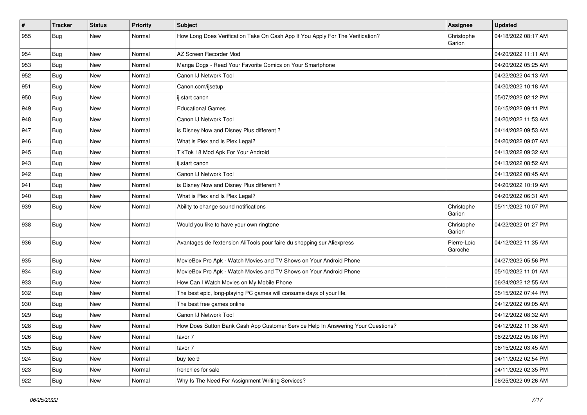| $\vert$ # | <b>Tracker</b> | <b>Status</b> | <b>Priority</b> | <b>Subject</b>                                                                   | <b>Assignee</b>        | <b>Updated</b>      |
|-----------|----------------|---------------|-----------------|----------------------------------------------------------------------------------|------------------------|---------------------|
| 955       | Bug            | New           | Normal          | How Long Does Verification Take On Cash App If You Apply For The Verification?   | Christophe<br>Garion   | 04/18/2022 08:17 AM |
| 954       | Bug            | New           | Normal          | AZ Screen Recorder Mod                                                           |                        | 04/20/2022 11:11 AM |
| 953       | Bug            | New           | Normal          | Manga Dogs - Read Your Favorite Comics on Your Smartphone                        |                        | 04/20/2022 05:25 AM |
| 952       | Bug            | New           | Normal          | Canon IJ Network Tool                                                            |                        | 04/22/2022 04:13 AM |
| 951       | Bug            | New           | Normal          | Canon.com/ijsetup                                                                |                        | 04/20/2022 10:18 AM |
| 950       | Bug            | <b>New</b>    | Normal          | ij.start canon                                                                   |                        | 05/07/2022 02:12 PM |
| 949       | Bug            | New           | Normal          | <b>Educational Games</b>                                                         |                        | 06/15/2022 09:11 PM |
| 948       | Bug            | New           | Normal          | Canon IJ Network Tool                                                            |                        | 04/20/2022 11:53 AM |
| 947       | Bug            | <b>New</b>    | Normal          | is Disney Now and Disney Plus different?                                         |                        | 04/14/2022 09:53 AM |
| 946       | Bug            | New           | Normal          | What is Plex and Is Plex Legal?                                                  |                        | 04/20/2022 09:07 AM |
| 945       | Bug            | New           | Normal          | TikTok 18 Mod Apk For Your Android                                               |                        | 04/13/2022 09:32 AM |
| 943       | Bug            | New           | Normal          | ij.start canon                                                                   |                        | 04/13/2022 08:52 AM |
| 942       | Bug            | New           | Normal          | Canon IJ Network Tool                                                            |                        | 04/13/2022 08:45 AM |
| 941       | Bug            | <b>New</b>    | Normal          | is Disney Now and Disney Plus different?                                         |                        | 04/20/2022 10:19 AM |
| 940       | <b>Bug</b>     | New           | Normal          | What is Plex and Is Plex Legal?                                                  |                        | 04/20/2022 06:31 AM |
| 939       | Bug            | New           | Normal          | Ability to change sound notifications                                            | Christophe<br>Garion   | 05/11/2022 10:07 PM |
| 938       | Bug            | <b>New</b>    | Normal          | Would you like to have your own ringtone                                         | Christophe<br>Garion   | 04/22/2022 01:27 PM |
| 936       | Bug            | New           | Normal          | Avantages de l'extension AliTools pour faire du shopping sur Aliexpress          | Pierre-Loïc<br>Garoche | 04/12/2022 11:35 AM |
| 935       | Bug            | <b>New</b>    | Normal          | MovieBox Pro Apk - Watch Movies and TV Shows on Your Android Phone               |                        | 04/27/2022 05:56 PM |
| 934       | Bug            | New           | Normal          | MovieBox Pro Apk - Watch Movies and TV Shows on Your Android Phone               |                        | 05/10/2022 11:01 AM |
| 933       | Bug            | <b>New</b>    | Normal          | How Can I Watch Movies on My Mobile Phone                                        |                        | 06/24/2022 12:55 AM |
| 932       | <b>Bug</b>     | <b>New</b>    | Normal          | The best epic, long-playing PC games will consume days of your life.             |                        | 05/15/2022 07:44 PM |
| 930       | <b>Bug</b>     | New           | Normal          | The best free games online                                                       |                        | 04/12/2022 09:05 AM |
| 929       | Bug            | New           | Normal          | Canon IJ Network Tool                                                            |                        | 04/12/2022 08:32 AM |
| 928       | <b>Bug</b>     | <b>New</b>    | Normal          | How Does Sutton Bank Cash App Customer Service Help In Answering Your Questions? |                        | 04/12/2022 11:36 AM |
| 926       | <b>Bug</b>     | New           | Normal          | tavor 7                                                                          |                        | 06/22/2022 05:08 PM |
| 925       | Bug            | New           | Normal          | tavor 7                                                                          |                        | 06/15/2022 03:45 AM |
| 924       | Bug            | New           | Normal          | buy tec 9                                                                        |                        | 04/11/2022 02:54 PM |
| 923       | <b>Bug</b>     | New           | Normal          | frenchies for sale                                                               |                        | 04/11/2022 02:35 PM |
| 922       | Bug            | New           | Normal          | Why Is The Need For Assignment Writing Services?                                 |                        | 06/25/2022 09:26 AM |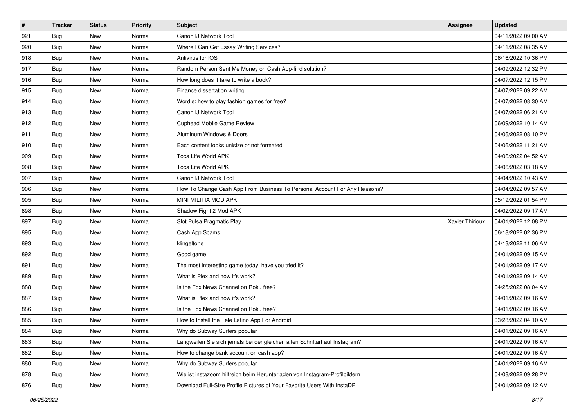| $\vert$ # | <b>Tracker</b> | <b>Status</b> | <b>Priority</b> | <b>Subject</b>                                                              | Assignee        | <b>Updated</b>      |
|-----------|----------------|---------------|-----------------|-----------------------------------------------------------------------------|-----------------|---------------------|
| 921       | <b>Bug</b>     | New           | Normal          | Canon IJ Network Tool                                                       |                 | 04/11/2022 09:00 AM |
| 920       | Bug            | <b>New</b>    | Normal          | Where I Can Get Essay Writing Services?                                     |                 | 04/11/2022 08:35 AM |
| 918       | Bug            | New           | Normal          | Antivirus for IOS                                                           |                 | 06/16/2022 10:36 PM |
| 917       | Bug            | New           | Normal          | Random Person Sent Me Money on Cash App-find solution?                      |                 | 04/09/2022 12:32 PM |
| 916       | Bug            | <b>New</b>    | Normal          | How long does it take to write a book?                                      |                 | 04/07/2022 12:15 PM |
| 915       | Bug            | New           | Normal          | Finance dissertation writing                                                |                 | 04/07/2022 09:22 AM |
| 914       | Bug            | New           | Normal          | Wordle: how to play fashion games for free?                                 |                 | 04/07/2022 08:30 AM |
| 913       | Bug            | New           | Normal          | Canon IJ Network Tool                                                       |                 | 04/07/2022 06:21 AM |
| 912       | Bug            | <b>New</b>    | Normal          | Cuphead Mobile Game Review                                                  |                 | 06/09/2022 10:14 AM |
| 911       | Bug            | <b>New</b>    | Normal          | Aluminum Windows & Doors                                                    |                 | 04/06/2022 08:10 PM |
| 910       | <b>Bug</b>     | New           | Normal          | Each content looks unisize or not formated                                  |                 | 04/06/2022 11:21 AM |
| 909       | Bug            | New           | Normal          | Toca Life World APK                                                         |                 | 04/06/2022 04:52 AM |
| 908       | Bug            | New           | Normal          | Toca Life World APK                                                         |                 | 04/06/2022 03:18 AM |
| 907       | Bug            | New           | Normal          | Canon IJ Network Tool                                                       |                 | 04/04/2022 10:43 AM |
| 906       | <b>Bug</b>     | New           | Normal          | How To Change Cash App From Business To Personal Account For Any Reasons?   |                 | 04/04/2022 09:57 AM |
| 905       | Bug            | New           | Normal          | MINI MILITIA MOD APK                                                        |                 | 05/19/2022 01:54 PM |
| 898       | Bug            | New           | Normal          | Shadow Fight 2 Mod APK                                                      |                 | 04/02/2022 09:17 AM |
| 897       | Bug            | New           | Normal          | Slot Pulsa Pragmatic Play                                                   | Xavier Thirioux | 04/01/2022 12:08 PM |
| 895       | Bug            | New           | Normal          | Cash App Scams                                                              |                 | 06/18/2022 02:36 PM |
| 893       | Bug            | New           | Normal          | klingeltone                                                                 |                 | 04/13/2022 11:06 AM |
| 892       | Bug            | New           | Normal          | Good game                                                                   |                 | 04/01/2022 09:15 AM |
| 891       | Bug            | New           | Normal          | The most interesting game today, have you tried it?                         |                 | 04/01/2022 09:17 AM |
| 889       | Bug            | New           | Normal          | What is Plex and how it's work?                                             |                 | 04/01/2022 09:14 AM |
| 888       | <b>Bug</b>     | New           | Normal          | Is the Fox News Channel on Roku free?                                       |                 | 04/25/2022 08:04 AM |
| 887       | Bug            | New           | Normal          | What is Plex and how it's work?                                             |                 | 04/01/2022 09:16 AM |
| 886       | Bug            | New           | Normal          | Is the Fox News Channel on Roku free?                                       |                 | 04/01/2022 09:16 AM |
| 885       | <b>Bug</b>     | New           | Normal          | How to Install the Tele Latino App For Android                              |                 | 03/28/2022 04:10 AM |
| 884       | Bug            | New           | Normal          | Why do Subway Surfers popular                                               |                 | 04/01/2022 09:16 AM |
| 883       | <b>Bug</b>     | New           | Normal          | Langweilen Sie sich jemals bei der gleichen alten Schriftart auf Instagram? |                 | 04/01/2022 09:16 AM |
| 882       | <b>Bug</b>     | New           | Normal          | How to change bank account on cash app?                                     |                 | 04/01/2022 09:16 AM |
| 880       | <b>Bug</b>     | New           | Normal          | Why do Subway Surfers popular                                               |                 | 04/01/2022 09:16 AM |
| 878       | <b>Bug</b>     | New           | Normal          | Wie ist instazoom hilfreich beim Herunterladen von Instagram-Profilbildern  |                 | 04/08/2022 09:28 PM |
| 876       | <b>Bug</b>     | New           | Normal          | Download Full-Size Profile Pictures of Your Favorite Users With InstaDP     |                 | 04/01/2022 09:12 AM |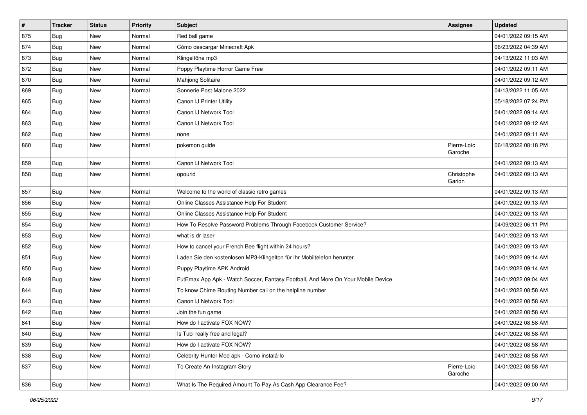| $\vert$ # | <b>Tracker</b> | <b>Status</b> | <b>Priority</b> | <b>Subject</b>                                                                   | Assignee               | <b>Updated</b>      |
|-----------|----------------|---------------|-----------------|----------------------------------------------------------------------------------|------------------------|---------------------|
| 875       | Bug            | New           | Normal          | Red ball game                                                                    |                        | 04/01/2022 09:15 AM |
| 874       | <b>Bug</b>     | <b>New</b>    | Normal          | Cómo descargar Minecraft Apk                                                     |                        | 06/23/2022 04:39 AM |
| 873       | Bug            | New           | Normal          | Klingeltöne mp3                                                                  |                        | 04/13/2022 11:03 AM |
| 872       | Bug            | New           | Normal          | Poppy Playtime Horror Game Free                                                  |                        | 04/01/2022 09:11 AM |
| 870       | Bug            | New           | Normal          | <b>Mahjong Solitaire</b>                                                         |                        | 04/01/2022 09:12 AM |
| 869       | Bug            | New           | Normal          | Sonnerie Post Malone 2022                                                        |                        | 04/13/2022 11:05 AM |
| 865       | <b>Bug</b>     | New           | Normal          | Canon IJ Printer Utility                                                         |                        | 05/18/2022 07:24 PM |
| 864       | Bug            | New           | Normal          | Canon IJ Network Tool                                                            |                        | 04/01/2022 09:14 AM |
| 863       | <b>Bug</b>     | New           | Normal          | Canon IJ Network Tool                                                            |                        | 04/01/2022 09:12 AM |
| 862       | Bug            | New           | Normal          | none                                                                             |                        | 04/01/2022 09:11 AM |
| 860       | Bug            | New           | Normal          | pokemon guide                                                                    | Pierre-Loïc<br>Garoche | 06/18/2022 08:18 PM |
| 859       | <b>Bug</b>     | <b>New</b>    | Normal          | Canon IJ Network Tool                                                            |                        | 04/01/2022 09:13 AM |
| 858       | Bug            | New           | Normal          | opourid                                                                          | Christophe<br>Garion   | 04/01/2022 09:13 AM |
| 857       | Bug            | New           | Normal          | Welcome to the world of classic retro games                                      |                        | 04/01/2022 09:13 AM |
| 856       | <b>Bug</b>     | New           | Normal          | Online Classes Assistance Help For Student                                       |                        | 04/01/2022 09:13 AM |
| 855       | Bug            | New           | Normal          | Online Classes Assistance Help For Student                                       |                        | 04/01/2022 09:13 AM |
| 854       | <b>Bug</b>     | New           | Normal          | How To Resolve Password Problems Through Facebook Customer Service?              |                        | 04/09/2022 06:11 PM |
| 853       | <b>Bug</b>     | <b>New</b>    | Normal          | what is dr laser                                                                 |                        | 04/01/2022 09:13 AM |
| 852       | <b>Bug</b>     | New           | Normal          | How to cancel your French Bee flight within 24 hours?                            |                        | 04/01/2022 09:13 AM |
| 851       | Bug            | New           | Normal          | Laden Sie den kostenlosen MP3-Klingelton für Ihr Mobiltelefon herunter           |                        | 04/01/2022 09:14 AM |
| 850       | <b>Bug</b>     | New           | Normal          | Puppy Playtime APK Android                                                       |                        | 04/01/2022 09:14 AM |
| 849       | Bug            | New           | Normal          | FutEmax App Apk - Watch Soccer, Fantasy Football, And More On Your Mobile Device |                        | 04/01/2022 09:04 AM |
| 844       | Bug            | <b>New</b>    | Normal          | To know Chime Routing Number call on the helpline number                         |                        | 04/01/2022 08:58 AM |
| 843       | Bug            | <b>New</b>    | Normal          | Canon IJ Network Tool                                                            |                        | 04/01/2022 08:58 AM |
| 842       | <b>Bug</b>     | New           | Normal          | Join the fun game                                                                |                        | 04/01/2022 08:58 AM |
| 841       | Bug            | <b>New</b>    | Normal          | How do I activate FOX NOW?                                                       |                        | 04/01/2022 08:58 AM |
| 840       | Bug            | New           | Normal          | Is Tubi really free and legal?                                                   |                        | 04/01/2022 08:58 AM |
| 839       | Bug            | New           | Normal          | How do I activate FOX NOW?                                                       |                        | 04/01/2022 08:58 AM |
| 838       | Bug            | New           | Normal          | Celebrity Hunter Mod apk - Como instalá-lo                                       |                        | 04/01/2022 08:58 AM |
| 837       | Bug            | New           | Normal          | To Create An Instagram Story                                                     | Pierre-Loïc<br>Garoche | 04/01/2022 08:58 AM |
| 836       | <b>Bug</b>     | New           | Normal          | What Is The Required Amount To Pay As Cash App Clearance Fee?                    |                        | 04/01/2022 09:00 AM |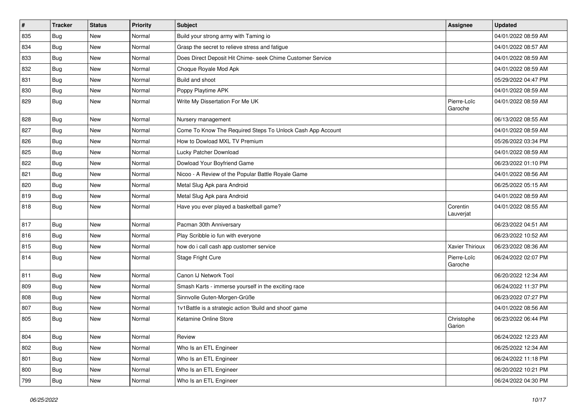| $\vert$ # | <b>Tracker</b> | <b>Status</b> | <b>Priority</b> | <b>Subject</b>                                             | Assignee               | <b>Updated</b>      |
|-----------|----------------|---------------|-----------------|------------------------------------------------------------|------------------------|---------------------|
| 835       | Bug            | New           | Normal          | Build your strong army with Taming io                      |                        | 04/01/2022 08:59 AM |
| 834       | <b>Bug</b>     | New           | Normal          | Grasp the secret to relieve stress and fatigue             |                        | 04/01/2022 08:57 AM |
| 833       | Bug            | New           | Normal          | Does Direct Deposit Hit Chime- seek Chime Customer Service |                        | 04/01/2022 08:59 AM |
| 832       | Bug            | <b>New</b>    | Normal          | Choque Royale Mod Apk                                      |                        | 04/01/2022 08:59 AM |
| 831       | <b>Bug</b>     | <b>New</b>    | Normal          | Build and shoot                                            |                        | 05/29/2022 04:47 PM |
| 830       | Bug            | New           | Normal          | Poppy Playtime APK                                         |                        | 04/01/2022 08:59 AM |
| 829       | Bug            | <b>New</b>    | Normal          | Write My Dissertation For Me UK                            | Pierre-Loïc<br>Garoche | 04/01/2022 08:59 AM |
| 828       | Bug            | <b>New</b>    | Normal          | Nursery management                                         |                        | 06/13/2022 08:55 AM |
| 827       | Bug            | New           | Normal          | Come To Know The Required Steps To Unlock Cash App Account |                        | 04/01/2022 08:59 AM |
| 826       | <b>Bug</b>     | New           | Normal          | How to Dowload MXL TV Premium                              |                        | 05/26/2022 03:34 PM |
| 825       | Bug            | <b>New</b>    | Normal          | Lucky Patcher Download                                     |                        | 04/01/2022 08:59 AM |
| 822       | <b>Bug</b>     | New           | Normal          | Dowload Your Boyfriend Game                                |                        | 06/23/2022 01:10 PM |
| 821       | Bug            | <b>New</b>    | Normal          | Nicoo - A Review of the Popular Battle Royale Game         |                        | 04/01/2022 08:56 AM |
| 820       | <b>Bug</b>     | New           | Normal          | Metal Slug Apk para Android                                |                        | 06/25/2022 05:15 AM |
| 819       | Bug            | New           | Normal          | Metal Slug Apk para Android                                |                        | 04/01/2022 08:59 AM |
| 818       | Bug            | New           | Normal          | Have you ever played a basketball game?                    | Corentin<br>Lauverjat  | 04/01/2022 08:55 AM |
| 817       | Bug            | New           | Normal          | Pacman 30th Anniversary                                    |                        | 06/23/2022 04:51 AM |
| 816       | Bug            | <b>New</b>    | Normal          | Play Scribble io fun with everyone                         |                        | 06/23/2022 10:52 AM |
| 815       | <b>Bug</b>     | New           | Normal          | how do i call cash app customer service                    | Xavier Thirioux        | 06/23/2022 08:36 AM |
| 814       | <b>Bug</b>     | New           | Normal          | Stage Fright Cure                                          | Pierre-Loïc<br>Garoche | 06/24/2022 02:07 PM |
| 811       | Bug            | New           | Normal          | Canon IJ Network Tool                                      |                        | 06/20/2022 12:34 AM |
| 809       | Bug            | New           | Normal          | Smash Karts - immerse yourself in the exciting race        |                        | 06/24/2022 11:37 PM |
| 808       | Bug            | <b>New</b>    | Normal          | Sinnvolle Guten-Morgen-Grüße                               |                        | 06/23/2022 07:27 PM |
| 807       | Bug            | New           | Normal          | 1v1Battle is a strategic action 'Build and shoot' game     |                        | 04/01/2022 08:56 AM |
| 805       | <b>Bug</b>     | New           | Normal          | Ketamine Online Store                                      | Christophe<br>Garion   | 06/23/2022 06:44 PM |
| 804       | <b>Bug</b>     | New           | Normal          | Review                                                     |                        | 06/24/2022 12:23 AM |
| 802       | <b>Bug</b>     | New           | Normal          | Who Is an ETL Engineer                                     |                        | 06/25/2022 12:34 AM |
| 801       | Bug            | New           | Normal          | Who Is an ETL Engineer                                     |                        | 06/24/2022 11:18 PM |
| 800       | Bug            | New           | Normal          | Who Is an ETL Engineer                                     |                        | 06/20/2022 10:21 PM |
| 799       | Bug            | New           | Normal          | Who Is an ETL Engineer                                     |                        | 06/24/2022 04:30 PM |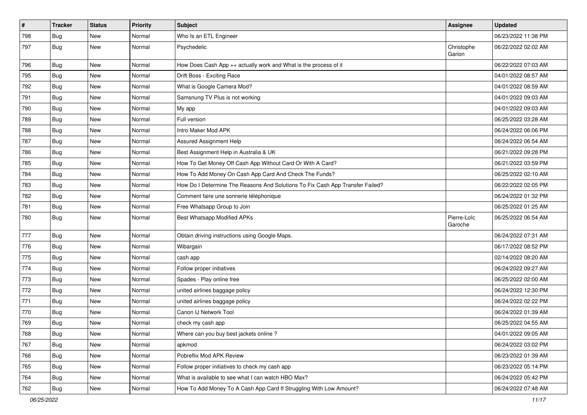| $\sharp$ | <b>Tracker</b> | <b>Status</b> | <b>Priority</b> | <b>Subject</b>                                                                | <b>Assignee</b>        | <b>Updated</b>      |
|----------|----------------|---------------|-----------------|-------------------------------------------------------------------------------|------------------------|---------------------|
| 798      | Bug            | New           | Normal          | Who Is an ETL Engineer                                                        |                        | 06/23/2022 11:38 PM |
| 797      | Bug            | <b>New</b>    | Normal          | Psychedelic                                                                   | Christophe<br>Garion   | 06/22/2022 02:02 AM |
| 796      | Bug            | <b>New</b>    | Normal          | How Does Cash App ++ actually work and What is the process of it              |                        | 06/22/2022 07:03 AM |
| 795      | Bug            | <b>New</b>    | Normal          | Drift Boss - Exciting Race                                                    |                        | 04/01/2022 08:57 AM |
| 792      | <b>Bug</b>     | New           | Normal          | What is Google Camera Mod?                                                    |                        | 04/01/2022 08:59 AM |
| 791      | Bug            | <b>New</b>    | Normal          | Samsnung TV Plus is not working                                               |                        | 04/01/2022 09:03 AM |
| 790      | <b>Bug</b>     | <b>New</b>    | Normal          | My app                                                                        |                        | 04/01/2022 09:03 AM |
| 789      | Bug            | <b>New</b>    | Normal          | Full version                                                                  |                        | 06/25/2022 03:28 AM |
| 788      | Bug            | <b>New</b>    | Normal          | Intro Maker Mod APK                                                           |                        | 06/24/2022 06:06 PM |
| 787      | <b>Bug</b>     | New           | Normal          | Assured Assignment Help                                                       |                        | 06/24/2022 06:54 AM |
| 786      | Bug            | New           | Normal          | Best Assignment Help in Australia & UK                                        |                        | 06/21/2022 09:28 PM |
| 785      | Bug            | <b>New</b>    | Normal          | How To Get Money Off Cash App Without Card Or With A Card?                    |                        | 06/21/2022 03:59 PM |
| 784      | <b>Bug</b>     | New           | Normal          | How To Add Money On Cash App Card And Check The Funds?                        |                        | 06/25/2022 02:10 AM |
| 783      | Bug            | <b>New</b>    | Normal          | How Do I Determine The Reasons And Solutions To Fix Cash App Transfer Failed? |                        | 06/22/2022 02:05 PM |
| 782      | Bug            | New           | Normal          | Comment faire une sonnerie téléphonique                                       |                        | 06/24/2022 01:32 PM |
| 781      | Bug            | <b>New</b>    | Normal          | Free Whatsapp Group to Join                                                   |                        | 06/25/2022 01:25 AM |
| 780      | Bug            | <b>New</b>    | Normal          | <b>Best Whatsapp Modified APKs</b>                                            | Pierre-Loïc<br>Garoche | 06/25/2022 06:54 AM |
| 777      | Bug            | <b>New</b>    | Normal          | Obtain driving instructions using Google Maps.                                |                        | 06/24/2022 07:31 AM |
| 776      | Bug            | <b>New</b>    | Normal          | Wibargain                                                                     |                        | 06/17/2022 08:52 PM |
| 775      | Bug            | <b>New</b>    | Normal          | cash app                                                                      |                        | 02/14/2022 08:20 AM |
| 774      | Bug            | <b>New</b>    | Normal          | Follow proper initiatives                                                     |                        | 06/24/2022 09:27 AM |
| 773      | Bug            | New           | Normal          | Spades - Play online free                                                     |                        | 06/25/2022 02:00 AM |
| 772      | <b>Bug</b>     | <b>New</b>    | Normal          | united airlines baggage policy                                                |                        | 06/24/2022 12:30 PM |
| 771      | Bug            | <b>New</b>    | Normal          | united airlines baggage policy                                                |                        | 06/24/2022 02:22 PM |
| 770      | Bug            | New           | Normal          | Canon IJ Network Tool                                                         |                        | 06/24/2022 01:39 AM |
| 769      | Bug            | New           | Normal          | check my cash app                                                             |                        | 06/25/2022 04:55 AM |
| 768      | Bug            | New           | Normal          | Where can you buy best jackets online?                                        |                        | 04/01/2022 09:05 AM |
| 767      | Bug            | <b>New</b>    | Normal          | apkmod                                                                        |                        | 06/24/2022 03:02 PM |
| 766      | Bug            | New           | Normal          | Pobreflix Mod APK Review                                                      |                        | 06/23/2022 01:39 AM |
| 765      | Bug            | New           | Normal          | Follow proper initiatives to check my cash app                                |                        | 06/23/2022 05:14 PM |
| 764      | Bug            | New           | Normal          | What is available to see what I can watch HBO Max?                            |                        | 06/24/2022 05:42 PM |
| 762      | <b>Bug</b>     | New           | Normal          | How To Add Money To A Cash App Card If Struggling With Low Amount?            |                        | 06/24/2022 07:48 AM |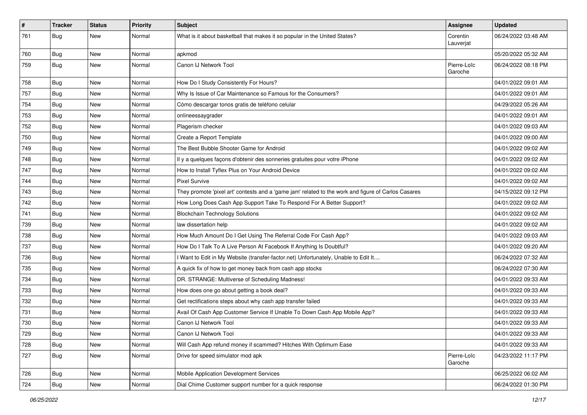| $\vert$ # | <b>Tracker</b> | <b>Status</b> | <b>Priority</b> | <b>Subject</b>                                                                                      | Assignee               | <b>Updated</b>      |
|-----------|----------------|---------------|-----------------|-----------------------------------------------------------------------------------------------------|------------------------|---------------------|
| 761       | <b>Bug</b>     | New           | Normal          | What is it about basketball that makes it so popular in the United States?                          | Corentin<br>Lauverjat  | 06/24/2022 03:48 AM |
| 760       | <b>Bug</b>     | New           | Normal          | apkmod                                                                                              |                        | 05/20/2022 05:32 AM |
| 759       | <b>Bug</b>     | New           | Normal          | Canon IJ Network Tool                                                                               | Pierre-Loïc<br>Garoche | 06/24/2022 08:18 PM |
| 758       | Bug            | <b>New</b>    | Normal          | How Do I Study Consistently For Hours?                                                              |                        | 04/01/2022 09:01 AM |
| 757       | Bug            | <b>New</b>    | Normal          | Why Is Issue of Car Maintenance so Famous for the Consumers?                                        |                        | 04/01/2022 09:01 AM |
| 754       | Bug            | New           | Normal          | Cómo descargar tonos gratis de teléfono celular                                                     |                        | 04/29/2022 05:26 AM |
| 753       | <b>Bug</b>     | New           | Normal          | onlineessaygrader                                                                                   |                        | 04/01/2022 09:01 AM |
| 752       | Bug            | <b>New</b>    | Normal          | Plagerism checker                                                                                   |                        | 04/01/2022 09:03 AM |
| 750       | <b>Bug</b>     | New           | Normal          | Create a Report Template                                                                            |                        | 04/01/2022 09:00 AM |
| 749       | Bug            | New           | Normal          | The Best Bubble Shooter Game for Android                                                            |                        | 04/01/2022 09:02 AM |
| 748       | Bug            | <b>New</b>    | Normal          | Il y a quelques façons d'obtenir des sonneries gratuites pour votre iPhone                          |                        | 04/01/2022 09:02 AM |
| 747       | <b>Bug</b>     | New           | Normal          | How to Install Tyflex Plus on Your Android Device                                                   |                        | 04/01/2022 09:02 AM |
| 744       | Bug            | <b>New</b>    | Normal          | <b>Pixel Survive</b>                                                                                |                        | 04/01/2022 09:02 AM |
| 743       | Bug            | New           | Normal          | They promote 'pixel art' contests and a 'game jam' related to the work and figure of Carlos Casares |                        | 04/15/2022 09:12 PM |
| 742       | Bug            | New           | Normal          | How Long Does Cash App Support Take To Respond For A Better Support?                                |                        | 04/01/2022 09:02 AM |
| 741       | Bug            | <b>New</b>    | Normal          | <b>Blockchain Technology Solutions</b>                                                              |                        | 04/01/2022 09:02 AM |
| 739       | Bug            | New           | Normal          | law dissertation help                                                                               |                        | 04/01/2022 09:02 AM |
| 738       | Bug            | <b>New</b>    | Normal          | How Much Amount Do I Get Using The Referral Code For Cash App?                                      |                        | 04/01/2022 09:03 AM |
| 737       | Bug            | New           | Normal          | How Do I Talk To A Live Person At Facebook If Anything Is Doubtful?                                 |                        | 04/01/2022 09:20 AM |
| 736       | Bug            | New           | Normal          | I Want to Edit in My Website (transfer-factor.net) Unfortunately, Unable to Edit It                 |                        | 06/24/2022 07:32 AM |
| 735       | Bug            | <b>New</b>    | Normal          | A quick fix of how to get money back from cash app stocks                                           |                        | 06/24/2022 07:30 AM |
| 734       | <b>Bug</b>     | New           | Normal          | DR. STRANGE: Multiverse of Scheduling Madness!                                                      |                        | 04/01/2022 09:33 AM |
| 733       | Bug            | New           | Normal          | How does one go about getting a book deal?                                                          |                        | 04/01/2022 09:33 AM |
| 732       | Bug            | <b>New</b>    | Normal          | Get rectifications steps about why cash app transfer failed                                         |                        | 04/01/2022 09:33 AM |
| 731       | <b>Bug</b>     | <b>New</b>    | Normal          | Avail Of Cash App Customer Service If Unable To Down Cash App Mobile App?                           |                        | 04/01/2022 09:33 AM |
| 730       | Bug            | New           | Normal          | Canon IJ Network Tool                                                                               |                        | 04/01/2022 09:33 AM |
| 729       | <b>Bug</b>     | <b>New</b>    | Normal          | Canon IJ Network Tool                                                                               |                        | 04/01/2022 09:33 AM |
| 728       | Bug            | New           | Normal          | Will Cash App refund money if scammed? Hitches With Optimum Ease                                    |                        | 04/01/2022 09:33 AM |
| 727       | Bug            | New           | Normal          | Drive for speed simulator mod apk                                                                   | Pierre-Loïc<br>Garoche | 04/23/2022 11:17 PM |
| 726       | Bug            | New           | Normal          | Mobile Application Development Services                                                             |                        | 06/25/2022 06:02 AM |
| 724       | Bug            | New           | Normal          | Dial Chime Customer support number for a quick response                                             |                        | 06/24/2022 01:30 PM |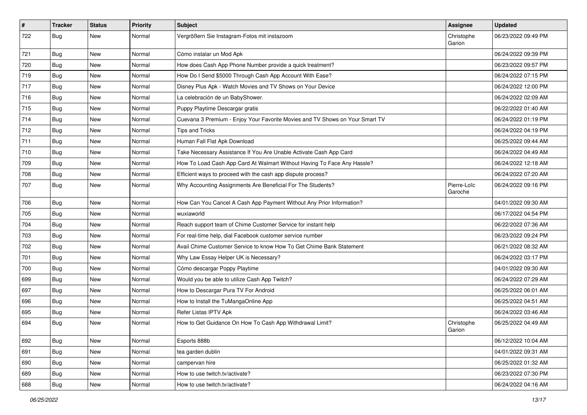| $\vert$ # | <b>Tracker</b> | <b>Status</b> | <b>Priority</b> | <b>Subject</b>                                                               | Assignee               | <b>Updated</b>      |
|-----------|----------------|---------------|-----------------|------------------------------------------------------------------------------|------------------------|---------------------|
| 722       | <b>Bug</b>     | New           | Normal          | Vergrößern Sie Instagram-Fotos mit instazoom                                 | Christophe<br>Garion   | 06/23/2022 09:49 PM |
| 721       | Bug            | New           | Normal          | Cómo instalar un Mod Apk                                                     |                        | 06/24/2022 09:39 PM |
| 720       | Bug            | New           | Normal          | How does Cash App Phone Number provide a quick treatment?                    |                        | 06/23/2022 09:57 PM |
| 719       | Bug            | <b>New</b>    | Normal          | How Do I Send \$5000 Through Cash App Account With Ease?                     |                        | 06/24/2022 07:15 PM |
| 717       | Bug            | New           | Normal          | Disney Plus Apk - Watch Movies and TV Shows on Your Device                   |                        | 06/24/2022 12:00 PM |
| 716       | Bug            | <b>New</b>    | Normal          | La celebración de un BabyShower.                                             |                        | 06/24/2022 02:09 AM |
| 715       | Bug            | New           | Normal          | Puppy Playtime Descargar gratis                                              |                        | 06/22/2022 01:40 AM |
| 714       | Bug            | New           | Normal          | Cuevana 3 Premium - Enjoy Your Favorite Movies and TV Shows on Your Smart TV |                        | 06/24/2022 01:19 PM |
| 712       | Bug            | <b>New</b>    | Normal          | <b>Tips and Tricks</b>                                                       |                        | 06/24/2022 04:19 PM |
| 711       | <b>Bug</b>     | New           | Normal          | Human Fall Flat Apk Download                                                 |                        | 06/25/2022 09:44 AM |
| 710       | Bug            | New           | Normal          | Take Necessary Assistance If You Are Unable Activate Cash App Card           |                        | 06/24/2022 04:49 AM |
| 709       | <b>Bug</b>     | New           | Normal          | How To Load Cash App Card At Walmart Without Having To Face Any Hassle?      |                        | 06/24/2022 12:18 AM |
| 708       | <b>Bug</b>     | <b>New</b>    | Normal          | Efficient ways to proceed with the cash app dispute process?                 |                        | 06/24/2022 07:20 AM |
| 707       | <b>Bug</b>     | New           | Normal          | Why Accounting Assignments Are Beneficial For The Students?                  | Pierre-Loïc<br>Garoche | 06/24/2022 09:16 PM |
| 706       | Bug            | <b>New</b>    | Normal          | How Can You Cancel A Cash App Payment Without Any Prior Information?         |                        | 04/01/2022 09:30 AM |
| 705       | Bug            | <b>New</b>    | Normal          | wuxiaworld                                                                   |                        | 06/17/2022 04:54 PM |
| 704       | Bug            | New           | Normal          | Reach support team of Chime Customer Service for instant help                |                        | 06/22/2022 07:36 AM |
| 703       | Bug            | New           | Normal          | For real-time help, dial Facebook customer service number                    |                        | 06/23/2022 09:24 PM |
| 702       | Bug            | New           | Normal          | Avail Chime Customer Service to know How To Get Chime Bank Statement         |                        | 06/21/2022 08:32 AM |
| 701       | <b>Bug</b>     | <b>New</b>    | Normal          | Why Law Essay Helper UK is Necessary?                                        |                        | 06/24/2022 03:17 PM |
| 700       | Bug            | <b>New</b>    | Normal          | Cómo descargar Poppy Playtime                                                |                        | 04/01/2022 09:30 AM |
| 699       | <b>Bug</b>     | New           | Normal          | Would you be able to utilize Cash App Twitch?                                |                        | 06/24/2022 07:29 AM |
| 697       | Bug            | New           | Normal          | How to Descargar Pura TV For Android                                         |                        | 06/25/2022 06:01 AM |
| 696       | Bug            | New           | Normal          | How to Install the TuMangaOnline App                                         |                        | 06/25/2022 04:51 AM |
| 695       | <b>Bug</b>     | <b>New</b>    | Normal          | Refer Listas IPTV Apk                                                        |                        | 06/24/2022 03:46 AM |
| 694       | Bug            | <b>New</b>    | Normal          | How to Get Guidance On How To Cash App Withdrawal Limit?                     | Christophe<br>Garion   | 06/25/2022 04:49 AM |
| 692       | <b>Bug</b>     | New           | Normal          | Esports 888b                                                                 |                        | 06/12/2022 10:04 AM |
| 691       | Bug            | New           | Normal          | tea garden dublin                                                            |                        | 04/01/2022 09:31 AM |
| 690       | <b>Bug</b>     | New           | Normal          | campervan hire                                                               |                        | 06/25/2022 01:32 AM |
| 689       | Bug            | New           | Normal          | How to use twitch.tv/activate?                                               |                        | 06/23/2022 07:30 PM |
| 688       | <b>Bug</b>     | New           | Normal          | How to use twitch.tv/activate?                                               |                        | 06/24/2022 04:16 AM |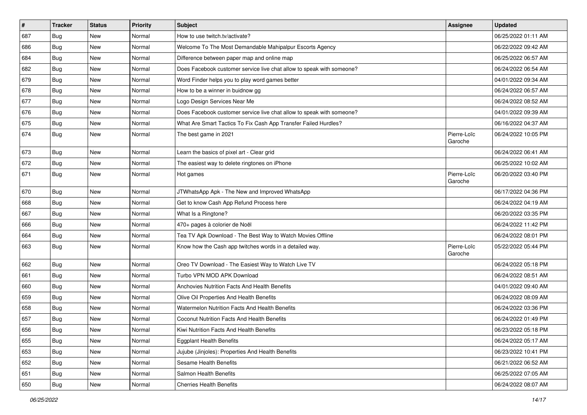| $\sharp$ | <b>Tracker</b> | <b>Status</b> | Priority | <b>Subject</b>                                                        | <b>Assignee</b>        | <b>Updated</b>      |
|----------|----------------|---------------|----------|-----------------------------------------------------------------------|------------------------|---------------------|
| 687      | Bug            | New           | Normal   | How to use twitch.tv/activate?                                        |                        | 06/25/2022 01:11 AM |
| 686      | Bug            | New           | Normal   | Welcome To The Most Demandable Mahipalpur Escorts Agency              |                        | 06/22/2022 09:42 AM |
| 684      | <b>Bug</b>     | New           | Normal   | Difference between paper map and online map                           |                        | 06/25/2022 06:57 AM |
| 682      | <b>Bug</b>     | New           | Normal   | Does Facebook customer service live chat allow to speak with someone? |                        | 06/24/2022 06:54 AM |
| 679      | Bug            | <b>New</b>    | Normal   | Word Finder helps you to play word games better                       |                        | 04/01/2022 09:34 AM |
| 678      | <b>Bug</b>     | New           | Normal   | How to be a winner in buidnow gg                                      |                        | 06/24/2022 06:57 AM |
| 677      | Bug            | New           | Normal   | Logo Design Services Near Me                                          |                        | 06/24/2022 08:52 AM |
| 676      | Bug            | New           | Normal   | Does Facebook customer service live chat allow to speak with someone? |                        | 04/01/2022 09:39 AM |
| 675      | Bug            | New           | Normal   | What Are Smart Tactics To Fix Cash App Transfer Failed Hurdles?       |                        | 06/16/2022 04:37 AM |
| 674      | Bug            | <b>New</b>    | Normal   | The best game in 2021                                                 | Pierre-Loïc<br>Garoche | 06/24/2022 10:05 PM |
| 673      | Bug            | New           | Normal   | Learn the basics of pixel art - Clear grid                            |                        | 06/24/2022 06:41 AM |
| 672      | Bug            | <b>New</b>    | Normal   | The easiest way to delete ringtones on iPhone                         |                        | 06/25/2022 10:02 AM |
| 671      | <b>Bug</b>     | New           | Normal   | Hot games                                                             | Pierre-Loïc<br>Garoche | 06/20/2022 03:40 PM |
| 670      | Bug            | <b>New</b>    | Normal   | JTWhatsApp Apk - The New and Improved WhatsApp                        |                        | 06/17/2022 04:36 PM |
| 668      | Bug            | New           | Normal   | Get to know Cash App Refund Process here                              |                        | 06/24/2022 04:19 AM |
| 667      | <b>Bug</b>     | <b>New</b>    | Normal   | What Is a Ringtone?                                                   |                        | 06/20/2022 03:35 PM |
| 666      | Bug            | New           | Normal   | 470+ pages à colorier de Noël                                         |                        | 06/24/2022 11:42 PM |
| 664      | <b>Bug</b>     | New           | Normal   | Tea TV Apk Download - The Best Way to Watch Movies Offline            |                        | 06/24/2022 08:01 PM |
| 663      | Bug            | New           | Normal   | Know how the Cash app twitches words in a detailed way.               | Pierre-Loïc<br>Garoche | 05/22/2022 05:44 PM |
| 662      | Bug            | <b>New</b>    | Normal   | Oreo TV Download - The Easiest Way to Watch Live TV                   |                        | 06/24/2022 05:18 PM |
| 661      | Bug            | New           | Normal   | Turbo VPN MOD APK Download                                            |                        | 06/24/2022 08:51 AM |
| 660      | Bug            | New           | Normal   | Anchovies Nutrition Facts And Health Benefits                         |                        | 04/01/2022 09:40 AM |
| 659      | Bug            | New           | Normal   | Olive Oil Properties And Health Benefits                              |                        | 06/24/2022 08:09 AM |
| 658      | Bug            | New           | Normal   | Watermelon Nutrition Facts And Health Benefits                        |                        | 06/24/2022 03:36 PM |
| 657      | Bug            | New           | Normal   | Coconut Nutrition Facts And Health Benefits                           |                        | 06/24/2022 01:49 PM |
| 656      | Bug            | New           | Normal   | Kiwi Nutrition Facts And Health Benefits                              |                        | 06/23/2022 05:18 PM |
| 655      | Bug            | New           | Normal   | <b>Eggplant Health Benefits</b>                                       |                        | 06/24/2022 05:17 AM |
| 653      | Bug            | New           | Normal   | Jujube (Jinjoles): Properties And Health Benefits                     |                        | 06/23/2022 10:41 PM |
| 652      | Bug            | New           | Normal   | Sesame Health Benefits                                                |                        | 06/21/2022 06:52 AM |
| 651      | Bug            | New           | Normal   | Salmon Health Benefits                                                |                        | 06/25/2022 07:05 AM |
| 650      | <b>Bug</b>     | New           | Normal   | <b>Cherries Health Benefits</b>                                       |                        | 06/24/2022 08:07 AM |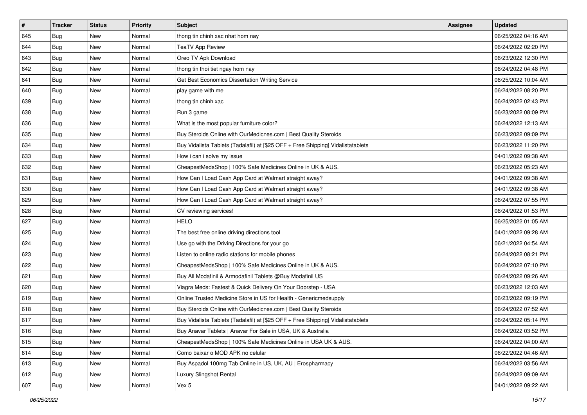| $\vert$ # | <b>Tracker</b> | <b>Status</b> | <b>Priority</b> | Subject                                                                          | <b>Assignee</b> | <b>Updated</b>      |
|-----------|----------------|---------------|-----------------|----------------------------------------------------------------------------------|-----------------|---------------------|
| 645       | Bug            | New           | Normal          | thong tin chinh xac nhat hom nay                                                 |                 | 06/25/2022 04:16 AM |
| 644       | Bug            | <b>New</b>    | Normal          | <b>TeaTV App Review</b>                                                          |                 | 06/24/2022 02:20 PM |
| 643       | Bug            | New           | Normal          | Oreo TV Apk Download                                                             |                 | 06/23/2022 12:30 PM |
| 642       | Bug            | <b>New</b>    | Normal          | thong tin thoi tiet ngay hom nay                                                 |                 | 06/24/2022 04:48 PM |
| 641       | Bug            | <b>New</b>    | Normal          | Get Best Economics Dissertation Writing Service                                  |                 | 06/25/2022 10:04 AM |
| 640       | Bug            | New           | Normal          | play game with me                                                                |                 | 06/24/2022 08:20 PM |
| 639       | Bug            | New           | Normal          | thong tin chinh xac                                                              |                 | 06/24/2022 02:43 PM |
| 638       | Bug            | New           | Normal          | Run 3 game                                                                       |                 | 06/23/2022 08:09 PM |
| 636       | Bug            | New           | Normal          | What is the most popular furniture color?                                        |                 | 06/24/2022 12:13 AM |
| 635       | Bug            | <b>New</b>    | Normal          | Buy Steroids Online with OurMedicnes.com   Best Quality Steroids                 |                 | 06/23/2022 09:09 PM |
| 634       | <b>Bug</b>     | New           | Normal          | Buy Vidalista Tablets (Tadalafil) at [\$25 OFF + Free Shipping] Vidalistatablets |                 | 06/23/2022 11:20 PM |
| 633       | Bug            | New           | Normal          | How i can i solve my issue                                                       |                 | 04/01/2022 09:38 AM |
| 632       | Bug            | <b>New</b>    | Normal          | CheapestMedsShop   100% Safe Medicines Online in UK & AUS.                       |                 | 06/23/2022 05:23 AM |
| 631       | Bug            | New           | Normal          | How Can I Load Cash App Card at Walmart straight away?                           |                 | 04/01/2022 09:38 AM |
| 630       | <b>Bug</b>     | <b>New</b>    | Normal          | How Can I Load Cash App Card at Walmart straight away?                           |                 | 04/01/2022 09:38 AM |
| 629       | Bug            | New           | Normal          | How Can I Load Cash App Card at Walmart straight away?                           |                 | 06/24/2022 07:55 PM |
| 628       | Bug            | New           | Normal          | CV reviewing services!                                                           |                 | 06/24/2022 01:53 PM |
| 627       | Bug            | <b>New</b>    | Normal          | <b>HELO</b>                                                                      |                 | 06/25/2022 01:05 AM |
| 625       | Bug            | New           | Normal          | The best free online driving directions tool                                     |                 | 04/01/2022 09:28 AM |
| 624       | Bug            | New           | Normal          | Use go with the Driving Directions for your go                                   |                 | 06/21/2022 04:54 AM |
| 623       | Bug            | New           | Normal          | Listen to online radio stations for mobile phones                                |                 | 06/24/2022 08:21 PM |
| 622       | Bug            | New           | Normal          | CheapestMedsShop   100% Safe Medicines Online in UK & AUS.                       |                 | 06/24/2022 07:10 PM |
| 621       | Bug            | <b>New</b>    | Normal          | Buy All Modafinil & Armodafinil Tablets @Buy Modafinil US                        |                 | 06/24/2022 09:26 AM |
| 620       | <b>Bug</b>     | New           | Normal          | Viagra Meds: Fastest & Quick Delivery On Your Doorstep - USA                     |                 | 06/23/2022 12:03 AM |
| 619       | Bug            | New           | Normal          | Online Trusted Medicine Store in US for Health - Genericmedsupply                |                 | 06/23/2022 09:19 PM |
| 618       | Bug            | New           | Normal          | Buy Steroids Online with OurMedicnes.com   Best Quality Steroids                 |                 | 06/24/2022 07:52 AM |
| 617       | <b>Bug</b>     | New           | Normal          | Buy Vidalista Tablets (Tadalafil) at [\$25 OFF + Free Shipping] Vidalistatablets |                 | 06/24/2022 05:14 PM |
| 616       | Bug            | New           | Normal          | Buy Anavar Tablets   Anavar For Sale in USA, UK & Australia                      |                 | 06/24/2022 03:52 PM |
| 615       | <b>Bug</b>     | New           | Normal          | CheapestMedsShop   100% Safe Medicines Online in USA UK & AUS.                   |                 | 06/24/2022 04:00 AM |
| 614       | Bug            | New           | Normal          | Como baixar o MOD APK no celular                                                 |                 | 06/22/2022 04:46 AM |
| 613       | Bug            | New           | Normal          | Buy Aspadol 100mg Tab Online in US, UK, AU   Erospharmacy                        |                 | 06/24/2022 03:56 AM |
| 612       | Bug            | New           | Normal          | <b>Luxury Slingshot Rental</b>                                                   |                 | 06/24/2022 09:09 AM |
| 607       | Bug            | New           | Normal          | Vex 5                                                                            |                 | 04/01/2022 09:22 AM |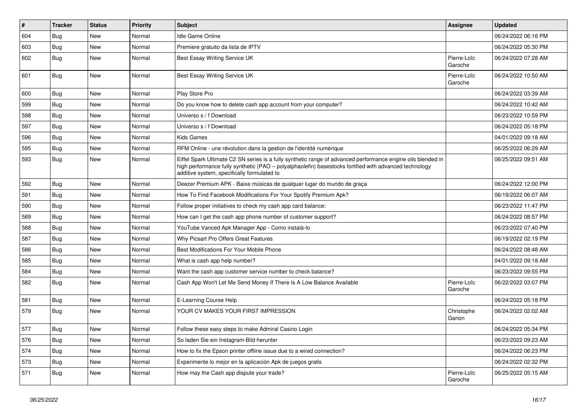| #   | <b>Tracker</b> | <b>Status</b> | <b>Priority</b> | <b>Subject</b>                                                                                                                                                                                                                                                        | <b>Assignee</b>        | <b>Updated</b>      |
|-----|----------------|---------------|-----------------|-----------------------------------------------------------------------------------------------------------------------------------------------------------------------------------------------------------------------------------------------------------------------|------------------------|---------------------|
| 604 | Bug            | <b>New</b>    | Normal          | <b>Idle Game Online</b>                                                                                                                                                                                                                                               |                        | 06/24/2022 06:16 PM |
| 603 | Bug            | <b>New</b>    | Normal          | Premiere gratuito da lista de IPTV                                                                                                                                                                                                                                    |                        | 06/24/2022 05:30 PM |
| 602 | Bug            | <b>New</b>    | Normal          | Best Essay Writing Service UK                                                                                                                                                                                                                                         | Pierre-Loïc<br>Garoche | 06/24/2022 07:28 AM |
| 601 | Bug            | <b>New</b>    | Normal          | Best Essay Writing Service UK                                                                                                                                                                                                                                         | Pierre-Loïc<br>Garoche | 06/24/2022 10:50 AM |
| 600 | Bug            | <b>New</b>    | Normal          | Play Store Pro                                                                                                                                                                                                                                                        |                        | 06/24/2022 03:39 AM |
| 599 | Bug            | New           | Normal          | Do you know how to delete cash app account from your computer?                                                                                                                                                                                                        |                        | 06/24/2022 10:42 AM |
| 598 | Bug            | New           | Normal          | Universo s / f Download                                                                                                                                                                                                                                               |                        | 06/23/2022 10:59 PM |
| 597 | Bug            | <b>New</b>    | Normal          | Universo s / f Download                                                                                                                                                                                                                                               |                        | 06/24/2022 05:18 PM |
| 596 | <b>Bug</b>     | New           | Normal          | Kids Games                                                                                                                                                                                                                                                            |                        | 04/01/2022 09:18 AM |
| 595 | Bug            | New           | Normal          | RFM Online - une révolution dans la gestion de l'identité numérique                                                                                                                                                                                                   |                        | 06/25/2022 06:29 AM |
| 593 | Bug            | <b>New</b>    | Normal          | Eiffel Spark Ultimate C2 SN series is a fully synthetic range of advanced performance engine oils blended in<br>high performance fully synthetic (PAO - polyalphaolefin) basestocks fortified with advanced technology<br>additive system, specifically formulated to |                        | 06/25/2022 09:51 AM |
| 592 | Bug            | New           | Normal          | Deezer Premium APK - Baixe músicas de qualquer lugar do mundo de graça                                                                                                                                                                                                |                        | 06/24/2022 12:00 PM |
| 591 | Bug            | <b>New</b>    | Normal          | How To Find Facebook Modifications For Your Spotify Premium Apk?                                                                                                                                                                                                      |                        | 06/19/2022 06:07 AM |
| 590 | Bug            | <b>New</b>    | Normal          | Follow proper initiatives to check my cash app card balance:                                                                                                                                                                                                          |                        | 06/23/2022 11:47 PM |
| 589 | Bug            | New           | Normal          | How can I get the cash app phone number of customer support?                                                                                                                                                                                                          |                        | 06/24/2022 08:57 PM |
| 588 | Bug            | New           | Normal          | YouTube Vanced Apk Manager App - Como instalá-lo                                                                                                                                                                                                                      |                        | 06/23/2022 07:40 PM |
| 587 | Bug            | <b>New</b>    | Normal          | Why Picsart Pro Offers Great Features                                                                                                                                                                                                                                 |                        | 06/19/2022 02:19 PM |
| 586 | Bug            | New           | Normal          | Best Modifications For Your Mobile Phone                                                                                                                                                                                                                              |                        | 06/24/2022 08:48 AM |
| 585 | Bug            | <b>New</b>    | Normal          | What is cash app help number?                                                                                                                                                                                                                                         |                        | 04/01/2022 09:18 AM |
| 584 | Bug            | New           | Normal          | Want the cash app customer service number to check balance?                                                                                                                                                                                                           |                        | 06/23/2022 09:55 PM |
| 582 | Bug            | New           | Normal          | Cash App Won't Let Me Send Money If There Is A Low Balance Available                                                                                                                                                                                                  | Pierre-Loïc<br>Garoche | 06/22/2022 03:07 PM |
| 581 | Bug            | <b>New</b>    | Normal          | E-Learning Course Help                                                                                                                                                                                                                                                |                        | 06/24/2022 05:18 PM |
| 579 | Bug            | New           | Normal          | YOUR CV MAKES YOUR FIRST IMPRESSION                                                                                                                                                                                                                                   | Christophe<br>Garion   | 06/24/2022 02:02 AM |
| 577 | Bug            | New           | Normal          | Follow these easy steps to make Admiral Casino Login                                                                                                                                                                                                                  |                        | 06/24/2022 05:34 PM |
| 576 | Bug            | New           | Normal          | So laden Sie ein Instagram-Bild herunter                                                                                                                                                                                                                              |                        | 06/23/2022 09:23 AM |
| 574 | Bug            | New           | Normal          | How to fix the Epson printer offline issue due to a wired connection?                                                                                                                                                                                                 |                        | 06/24/2022 06:23 PM |
| 573 | <b>Bug</b>     | New           | Normal          | Experimente lo mejor en la aplicación Apk de juegos gratis                                                                                                                                                                                                            |                        | 06/24/2022 02:32 PM |
| 571 | <b>Bug</b>     | New           | Normal          | How may the Cash app dispute your trade?                                                                                                                                                                                                                              | Pierre-Loïc<br>Garoche | 06/25/2022 05:15 AM |